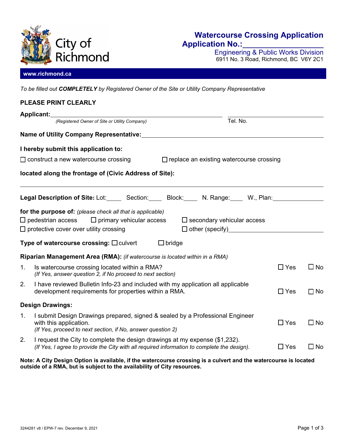

# **Watercourse Crossing Application Application No.:**

Engineering & Public Works Division 6911 No. 3 Road, Richmond, BC V6Y 2C1

### **www.richmond.ca**

*To be filled out COMPLETELY by Registered Owner of the Site or Utility Company Representative*

# **PLEASE PRINT CLEARLY Applicant:** *(Registered Owner of Site or Utility Company)* Tel. No. **Name of Utility Company Representative: I hereby submit this application to:**   $\Box$  construct a new watercourse crossing  $\Box$  replace an existing watercourse crossing **located along the frontage of (Civic Address of Site): Legal Description of Site:** Lot: Section: Block: N. Range: W., Plan: **for the purpose of:** *(please check all that is applicable)*  $\Box$  pedestrian access  $\Box$  primary vehicular access  $\Box$  secondary vehicular access  $\square$  protective cover over utility crossing  $\square$  other (specify) **Type of watercourse crossing:**  $\square$  culvert  $\square$  bridge **Riparian Management Area (RMA):** *(if watercourse is located within in a RMA)* 1. Is watercourse crossing located within a RMA?  $\square$  Yes  $\square$  No  *(If Yes, answer question 2, if No proceed to next section)*  2. I have reviewed Bulletin Info-23 and included with my application all applicable development requirements for properties within a RMA.  $\square$   $\square$   $\blacksquare$  Yes  $\square$  No **Design Drawings:**  1. I submit Design Drawings prepared, signed & sealed by a Professional Engineer with this application.  $\Box$  Yes  $\Box$  No  *(If Yes, proceed to next section, if No, answer question 2)*  2. I request the City to complete the design drawings at my expense (\$1,232). *(If Yes, I agree to provide the City with all required information to complete the design).*  $\Box$  Yes  $\Box$  No

#### **Note: A City Design Option is available, if the watercourse crossing is a culvert and the watercourse is located outside of a RMA, but is subject to the availability of City resources.**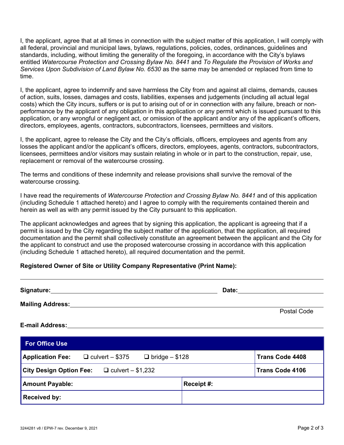I, the applicant, agree that at all times in connection with the subject matter of this application, I will comply with all federal, provincial and municipal laws, bylaws, regulations, policies, codes, ordinances, guidelines and standards, including, without limiting the generality of the foregoing, in accordance with the City's bylaws entitled *Watercourse Protection and Crossing Bylaw No. 8441* and *To Regulate the Provision of Works and Services Upon Subdivision of Land Bylaw No. 6530* as the same may be amended or replaced from time to time.

I, the applicant, agree to indemnify and save harmless the City from and against all claims, demands, causes of action, suits, losses, damages and costs, liabilities, expenses and judgements (including all actual legal costs) which the City incurs, suffers or is put to arising out of or in connection with any failure, breach or nonperformance by the applicant of any obligation in this application or any permit which is issued pursuant to this application, or any wrongful or negligent act, or omission of the applicant and/or any of the applicant's officers, directors, employees, agents, contractors, subcontractors, licensees, permittees and visitors.

I, the applicant, agree to release the City and the City's officials, officers, employees and agents from any losses the applicant and/or the applicant's officers, directors, employees, agents, contractors, subcontractors, licensees, permittees and/or visitors may sustain relating in whole or in part to the construction, repair, use, replacement or removal of the watercourse crossing.

The terms and conditions of these indemnity and release provisions shall survive the removal of the watercourse crossing.

I have read the requirements of *Watercourse Protection and Crossing Bylaw No. 8441* and of this application (including Schedule 1 attached hereto) and I agree to comply with the requirements contained therein and herein as well as with any permit issued by the City pursuant to this application.

The applicant acknowledges and agrees that by signing this application, the applicant is agreeing that if a permit is issued by the City regarding the subject matter of the application, that the application, all required documentation and the permit shall collectively constitute an agreement between the applicant and the City for the applicant to construct and use the proposed watercourse crossing in accordance with this application (including Schedule 1 attached hereto), all required documentation and the permit.

# **Registered Owner of Site or Utility Company Representative (Print Name):**

| Signature: 1988                                                      | Date: ________         |  |
|----------------------------------------------------------------------|------------------------|--|
| <b>Mailing Address:</b>                                              |                        |  |
| <b>E-mail Address:</b>                                               | Postal Code            |  |
| <b>For Office Use</b>                                                |                        |  |
| <b>Application Fee:</b> $\Box$ culvert - \$375 $\Box$ bridge - \$128 | <b>Trans Code 4408</b> |  |
| City Design Option Fee: $\Box$ culvert - \$1,232                     | <b>Trans Code 4106</b> |  |
| <b>Amount Payable:</b>                                               | Receipt #:             |  |
| <b>Received by:</b>                                                  |                        |  |